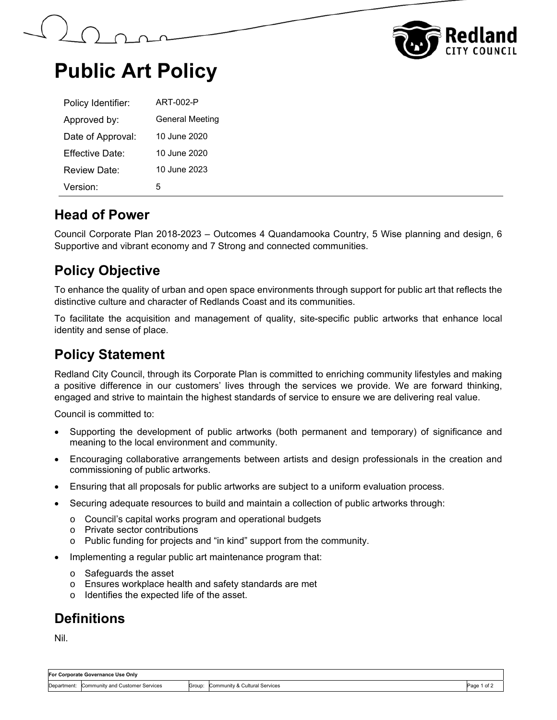



# **Public Art Policy**

| Policy Identifier:   | ART-002-P              |
|----------------------|------------------------|
| Approved by:         | <b>General Meeting</b> |
| Date of Approval:    | 10 June 2020           |
| Fffective Date:      | 10 June 2020           |
| Review Date:         | 10 June 2023           |
| Version <sup>-</sup> | 5                      |

#### **Head of Power**

Council Corporate Plan 2018-2023 – Outcomes 4 Quandamooka Country, 5 Wise planning and design, 6 Supportive and vibrant economy and 7 Strong and connected communities.

#### **Policy Objective**

To enhance the quality of urban and open space environments through support for public art that reflects the distinctive culture and character of Redlands Coast and its communities.

To facilitate the acquisition and management of quality, site-specific public artworks that enhance local identity and sense of place.

#### **Policy Statement**

Redland City Council, through its Corporate Plan is committed to enriching community lifestyles and making a positive difference in our customers' lives through the services we provide. We are forward thinking, engaged and strive to maintain the highest standards of service to ensure we are delivering real value.

Council is committed to:

- Supporting the development of public artworks (both permanent and temporary) of significance and meaning to the local environment and community.
- Encouraging collaborative arrangements between artists and design professionals in the creation and commissioning of public artworks.
- Ensuring that all proposals for public artworks are subject to a uniform evaluation process.
- Securing adequate resources to build and maintain a collection of public artworks through:
	- o Council's capital works program and operational budgets
	- o Private sector contributions
	- o Public funding for projects and "in kind" support from the community.
- Implementing a regular public art maintenance program that:
	- o Safeguards the asset
	- o Ensures workplace health and safety standards are met
	- o Identifies the expected life of the asset.

#### **Definitions**

Nil.

| For Corporate Governance Use Only |                                 |        |                               |                |  |  |  |
|-----------------------------------|---------------------------------|--------|-------------------------------|----------------|--|--|--|
| Department:                       | Community and Customer Services | Group: | Community & Cultural Services | Page<br>1 of . |  |  |  |